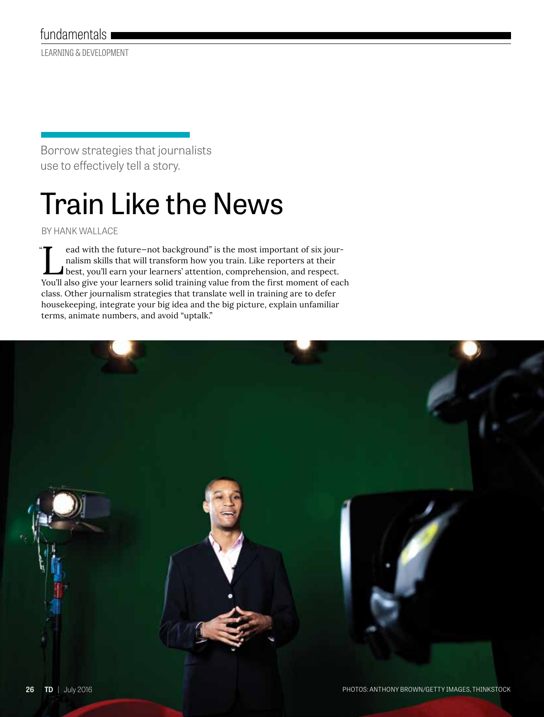LEARNING & DEVELOPMENT

Borrow strategies that journalists use to effectively tell a story.

# Train Like the News

BY HANK WALLACE

ead with the future–not background" is the most important of six journalism skills that will transform how you train. Like reporters at their<br>best, you'll earn your learners' attention, comprehension, and respect.<br>You'll a nalism skills that will transform how you train. Like reporters at their You'll also give your learners solid training value from the first moment of each class. Other journalism strategies that translate well in training are to defer housekeeping, integrate your big idea and the big picture, explain unfamiliar terms, animate numbers, and avoid "uptalk."  $"$ 

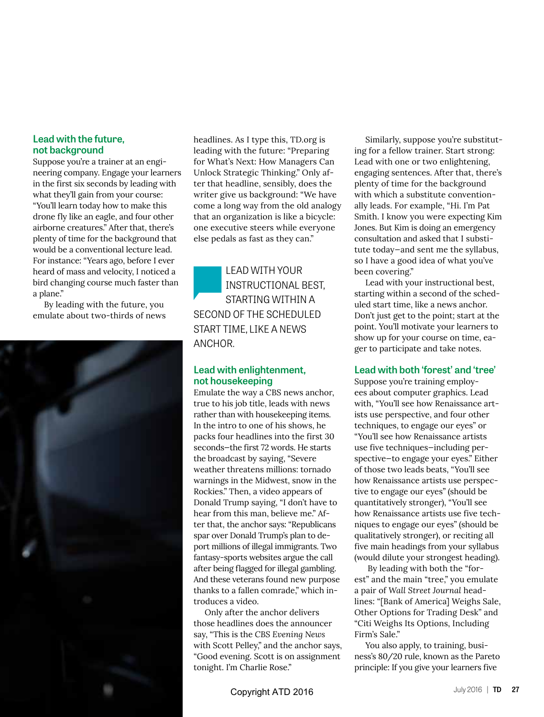#### **Lead with the future, not background**

Suppose you're a trainer at an engineering company. Engage your learners in the first six seconds by leading with what they'll gain from your course: "You'll learn today how to make this drone fly like an eagle, and four other airborne creatures." After that, there's plenty of time for the background that would be a conventional lecture lead. For instance: "Years ago, before I ever heard of mass and velocity, I noticed a bird changing course much faster than a plane."

By leading with the future, you emulate about two-thirds of news



headlines. As I type this, TD.org is leading with the future: "Preparing for What's Next: How Managers Can Unlock Strategic Thinking." Only after that headline, sensibly, does the writer give us background: "We have come a long way from the old analogy that an organization is like a bicycle: one executive steers while everyone else pedals as fast as they can."

LEAD WITH YOUR INSTRUCTIONAL BEST, STARTING WITHIN A SECOND OF THE SCHEDULED START TIME, LIKE A NEWS ANCHOR.

#### **Lead with enlightenment, not housekeeping**

Emulate the way a CBS news anchor, true to his job title, leads with news rather than with housekeeping items. In the intro to one of his shows, he packs four headlines into the first 30 seconds—the first 72 words. He starts the broadcast by saying, "Severe weather threatens millions: tornado warnings in the Midwest, snow in the Rockies." Then, a video appears of Donald Trump saying, "I don't have to hear from this man, believe me." After that, the anchor says: "Republicans spar over Donald Trump's plan to deport millions of illegal immigrants. Two fantasy-sports websites argue the call after being flagged for illegal gambling. And these veterans found new purpose thanks to a fallen comrade," which introduces a video.

Only after the anchor delivers those headlines does the announcer say, "This is the *CBS Evening News* with Scott Pelley," and the anchor says, "Good evening. Scott is on assignment tonight. I'm Charlie Rose."

Similarly, suppose you're substituting for a fellow trainer. Start strong: Lead with one or two enlightening, engaging sentences. After that, there's plenty of time for the background with which a substitute conventionally leads. For example, "Hi. I'm Pat Smith. I know you were expecting Kim Jones. But Kim is doing an emergency consultation and asked that I substitute today—and sent me the syllabus, so I have a good idea of what you've been covering."

Lead with your instructional best, starting within a second of the scheduled start time, like a news anchor. Don't just get to the point; start at the point. You'll motivate your learners to show up for your course on time, eager to participate and take notes.

#### **Lead with both 'forest' and 'tree'**

Suppose you're training employees about computer graphics. Lead with, "You'll see how Renaissance artists use perspective, and four other techniques, to engage our eyes" or "You'll see how Renaissance artists use five techniques—including perspective—to engage your eyes." Either of those two leads beats, "You'll see how Renaissance artists use perspective to engage our eyes" (should be quantitatively stronger), "You'll see how Renaissance artists use five techniques to engage our eyes" (should be qualitatively stronger), or reciting all five main headings from your syllabus (would dilute your strongest heading).

 By leading with both the "forest" and the main "tree," you emulate a pair of *Wall Street Journal* headlines: "[Bank of America] Weighs Sale, Other Options for Trading Desk" and "Citi Weighs Its Options, Including Firm's Sale."

You also apply, to training, business's 80/20 rule, known as the Pareto principle: If you give your learners five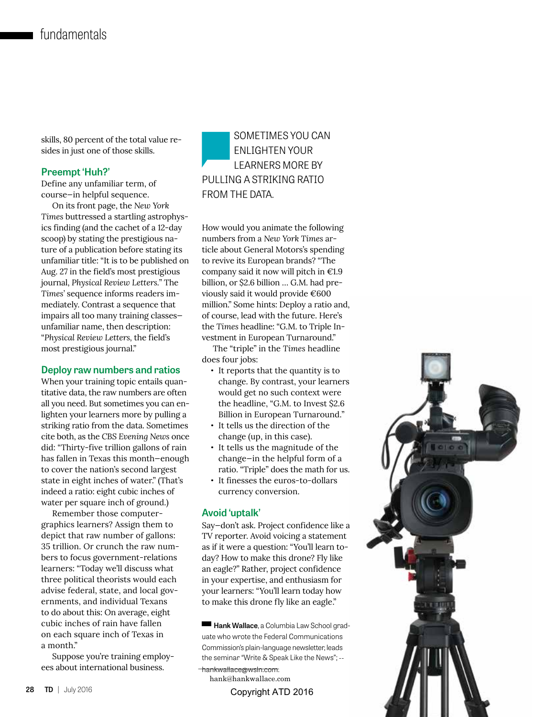skills, 80 percent of the total value resides in just one of those skills.

#### **Preempt 'Huh?'**

Define any unfamiliar term, of course—in helpful sequence.

On its front page, the *New York Times* buttressed a startling astrophysics finding (and the cachet of a 12-day scoop) by stating the prestigious nature of a publication before stating its unfamiliar title: "It is to be published on Aug. 27 in the field's most prestigious journal, *Physical Review Letters.*" The *Times'* sequence informs readers immediately. Contrast a sequence that impairs all too many training classes unfamiliar name, then description: "*Physical Review Letters,* the field's most prestigious journal."

#### **Deploy raw numbers and ratios**

When your training topic entails quantitative data, the raw numbers are often all you need. But sometimes you can enlighten your learners more by pulling a striking ratio from the data. Sometimes cite both, as the *CBS Evening News* once did: "Thirty-five trillion gallons of rain has fallen in Texas this month—enough to cover the nation's second largest state in eight inches of water." (That's indeed a ratio: eight cubic inches of water per square inch of ground.)

Remember those computergraphics learners? Assign them to depict that raw number of gallons: 35 trillion. Or crunch the raw numbers to focus government-relations learners: "Today we'll discuss what three political theorists would each advise federal, state, and local governments, and individual Texans to do about this: On average, eight cubic inches of rain have fallen on each square inch of Texas in a month."

Suppose you're training employees about international business.

### SOMETIMES YOU CAN ENLIGHTEN YOUR LEARNERS MORE BY PULLING A STRIKING RATIO FROM THE DATA.

How would you animate the following numbers from a *New York Times* article about General Motors's spending to revive its European brands? "The company said it now will pitch in  $E1.9$ billion, or \$2.6 billion … G.M. had previously said it would provide €600 million." Some hints: Deploy a ratio and, of course, lead with the future. Here's the *Times* headline: "G.M. to Triple Investment in European Turnaround."

The "triple" in the *Times* headline does four jobs:

- **•** It reports that the quantity is to change. By contrast, your learners would get no such context were the headline, "G.M. to Invest \$2.6 Billion in European Turnaround."
- **•** It tells us the direction of the change (up, in this case).
- **•** It tells us the magnitude of the change—in the helpful form of a ratio. "Triple" does the math for us.
- **•** It finesses the euros-to-dollars currency conversion.

#### **Avoid 'uptalk'**

Say—don't ask. Project confidence like a TV reporter. Avoid voicing a statement as if it were a question: "You'll learn today? How to make this drone? Fly like an eagle?" Rather, project confidence in your expertise, and enthusiasm for your learners: "You'll learn today how to make this drone fly like an eagle."

**Hank Wallace**, a Columbia Law School graduate who wrote the Federal Communications Commission's plain-language newsletter, leads the seminar "Write & Speak Like the News"; --

- hankwallace@wsln.com.
- hank@hankwallace.com

Copyright ATD 2016